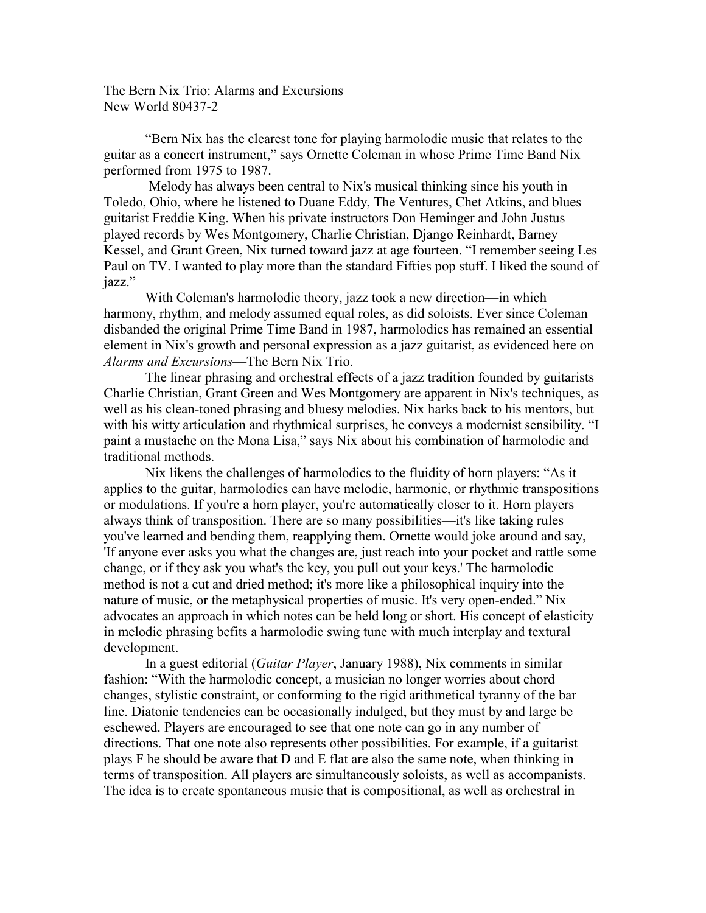The Bern Nix Trio: Alarms and Excursions New World 80437-2

"Bern Nix has the clearest tone for playing harmolodic music that relates to the guitar as a concert instrument," says Ornette Coleman in whose Prime Time Band Nix performed from 1975 to 1987.

 Melody has always been central to Nix's musical thinking since his youth in Toledo, Ohio, where he listened to Duane Eddy, The Ventures, Chet Atkins, and blues guitarist Freddie King. When his private instructors Don Heminger and John Justus played records by Wes Montgomery, Charlie Christian, Django Reinhardt, Barney Kessel, and Grant Green, Nix turned toward jazz at age fourteen. "I remember seeing Les Paul on TV. I wanted to play more than the standard Fifties pop stuff. I liked the sound of jazz."

With Coleman's harmolodic theory, jazz took a new direction—in which harmony, rhythm, and melody assumed equal roles, as did soloists. Ever since Coleman disbanded the original Prime Time Band in 1987, harmolodics has remained an essential element in Nix's growth and personal expression as a jazz guitarist, as evidenced here on *Alarms and Excursions*—The Bern Nix Trio.

The linear phrasing and orchestral effects of a jazz tradition founded by guitarists Charlie Christian, Grant Green and Wes Montgomery are apparent in Nix's techniques, as well as his clean-toned phrasing and bluesy melodies. Nix harks back to his mentors, but with his witty articulation and rhythmical surprises, he conveys a modernist sensibility. "I paint a mustache on the Mona Lisa," says Nix about his combination of harmolodic and traditional methods.

Nix likens the challenges of harmolodics to the fluidity of horn players: "As it applies to the guitar, harmolodics can have melodic, harmonic, or rhythmic transpositions or modulations. If you're a horn player, you're automatically closer to it. Horn players always think of transposition. There are so many possibilities—it's like taking rules you've learned and bending them, reapplying them. Ornette would joke around and say, 'If anyone ever asks you what the changes are, just reach into your pocket and rattle some change, or if they ask you what's the key, you pull out your keys.' The harmolodic method is not a cut and dried method; it's more like a philosophical inquiry into the nature of music, or the metaphysical properties of music. It's very open-ended." Nix advocates an approach in which notes can be held long or short. His concept of elasticity in melodic phrasing befits a harmolodic swing tune with much interplay and textural development.

In a guest editorial (*Guitar Player*, January 1988), Nix comments in similar fashion: "With the harmolodic concept, a musician no longer worries about chord changes, stylistic constraint, or conforming to the rigid arithmetical tyranny of the bar line. Diatonic tendencies can be occasionally indulged, but they must by and large be eschewed. Players are encouraged to see that one note can go in any number of directions. That one note also represents other possibilities. For example, if a guitarist plays F he should be aware that D and E flat are also the same note, when thinking in terms of transposition. All players are simultaneously soloists, as well as accompanists. The idea is to create spontaneous music that is compositional, as well as orchestral in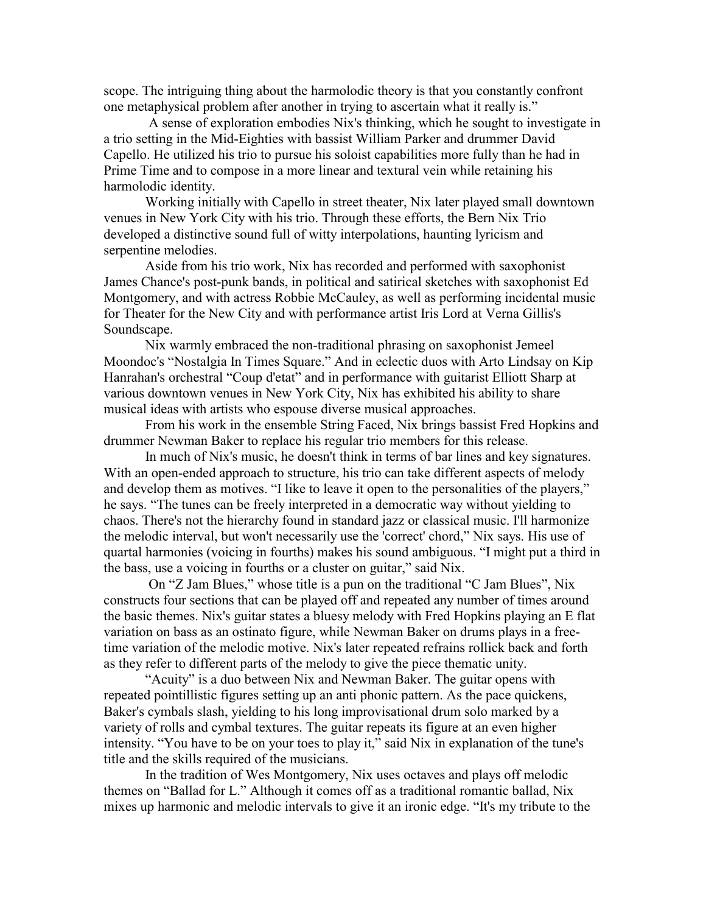scope. The intriguing thing about the harmolodic theory is that you constantly confront one metaphysical problem after another in trying to ascertain what it really is."

 A sense of exploration embodies Nix's thinking, which he sought to investigate in a trio setting in the Mid-Eighties with bassist William Parker and drummer David Capello. He utilized his trio to pursue his soloist capabilities more fully than he had in Prime Time and to compose in a more linear and textural vein while retaining his harmolodic identity.

Working initially with Capello in street theater, Nix later played small downtown venues in New York City with his trio. Through these efforts, the Bern Nix Trio developed a distinctive sound full of witty interpolations, haunting lyricism and serpentine melodies.

Aside from his trio work, Nix has recorded and performed with saxophonist James Chance's post-punk bands, in political and satirical sketches with saxophonist Ed Montgomery, and with actress Robbie McCauley, as well as performing incidental music for Theater for the New City and with performance artist Iris Lord at Verna Gillis's Soundscape.

Nix warmly embraced the non-traditional phrasing on saxophonist Jemeel Moondoc's "Nostalgia In Times Square." And in eclectic duos with Arto Lindsay on Kip Hanrahan's orchestral "Coup d'etat" and in performance with guitarist Elliott Sharp at various downtown venues in New York City, Nix has exhibited his ability to share musical ideas with artists who espouse diverse musical approaches.

From his work in the ensemble String Faced, Nix brings bassist Fred Hopkins and drummer Newman Baker to replace his regular trio members for this release.

In much of Nix's music, he doesn't think in terms of bar lines and key signatures. With an open-ended approach to structure, his trio can take different aspects of melody and develop them as motives. "I like to leave it open to the personalities of the players," he says. "The tunes can be freely interpreted in a democratic way without yielding to chaos. There's not the hierarchy found in standard jazz or classical music. I'll harmonize the melodic interval, but won't necessarily use the 'correct' chord," Nix says. His use of quartal harmonies (voicing in fourths) makes his sound ambiguous. "I might put a third in the bass, use a voicing in fourths or a cluster on guitar," said Nix.

 On "Z Jam Blues," whose title is a pun on the traditional "C Jam Blues", Nix constructs four sections that can be played off and repeated any number of times around the basic themes. Nix's guitar states a bluesy melody with Fred Hopkins playing an E flat variation on bass as an ostinato figure, while Newman Baker on drums plays in a freetime variation of the melodic motive. Nix's later repeated refrains rollick back and forth as they refer to different parts of the melody to give the piece thematic unity.

"Acuity" is a duo between Nix and Newman Baker. The guitar opens with repeated pointillistic figures setting up an anti phonic pattern. As the pace quickens, Baker's cymbals slash, yielding to his long improvisational drum solo marked by a variety of rolls and cymbal textures. The guitar repeats its figure at an even higher intensity. "You have to be on your toes to play it," said Nix in explanation of the tune's title and the skills required of the musicians.

In the tradition of Wes Montgomery, Nix uses octaves and plays off melodic themes on "Ballad for L." Although it comes off as a traditional romantic ballad, Nix mixes up harmonic and melodic intervals to give it an ironic edge. "It's my tribute to the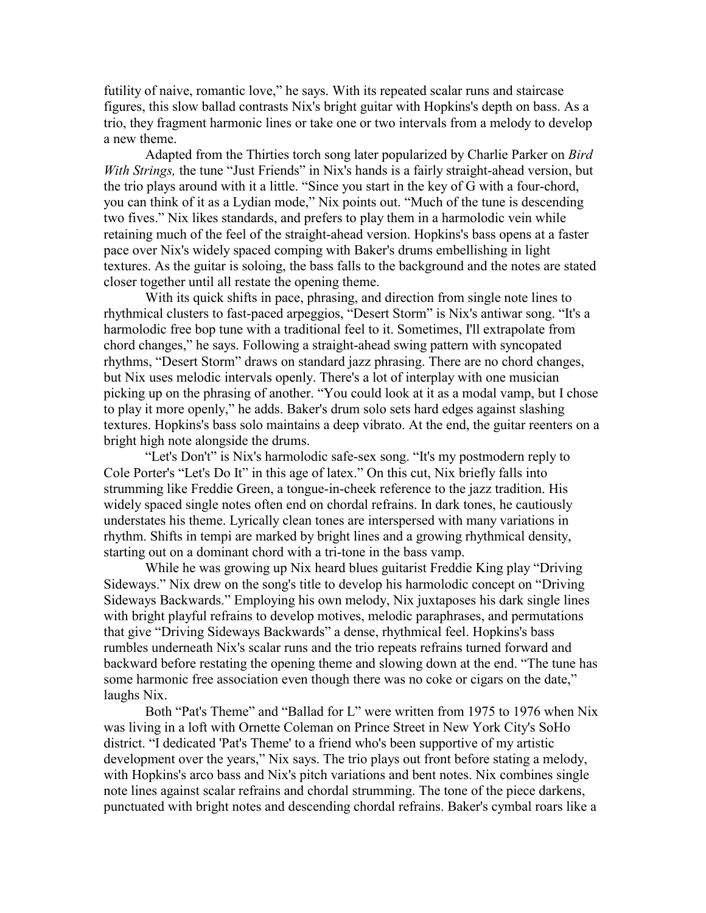futility of naive, romantic love," he says. With its repeated scalar runs and staircase figures, this slow ballad contrasts Nix's bright guitar with Hopkins's depth on bass. As a trio, they fragment harmonic lines or take one or two intervals from a melody to develop a new theme.

Adapted from the Thirties torch song later popularized by Charlie Parker on *Bird With Strings,* the tune "Just Friends" in Nix's hands is a fairly straight-ahead version, but the trio plays around with it a little. "Since you start in the key of G with a four-chord, you can think of it as a Lydian mode," Nix points out. "Much of the tune is descending two fives." Nix likes standards, and prefers to play them in a harmolodic vein while retaining much of the feel of the straight-ahead version. Hopkins's bass opens at a faster pace over Nix's widely spaced comping with Baker's drums embellishing in light textures. As the guitar is soloing, the bass falls to the background and the notes are stated closer together until all restate the opening theme.

With its quick shifts in pace, phrasing, and direction from single note lines to rhythmical clusters to fast-paced arpeggios, "Desert Storm" is Nix's antiwar song. "It's a harmolodic free bop tune with a traditional feel to it. Sometimes, I'll extrapolate from chord changes," he says. Following a straight-ahead swing pattern with syncopated rhythms, "Desert Storm" draws on standard jazz phrasing. There are no chord changes, but Nix uses melodic intervals openly. There's a lot of interplay with one musician picking up on the phrasing of another. "You could look at it as a modal vamp, but I chose to play it more openly," he adds. Baker's drum solo sets hard edges against slashing textures. Hopkins's bass solo maintains a deep vibrato. At the end, the guitar reenters on a bright high note alongside the drums.

"Let's Don't" is Nix's harmolodic safe-sex song. "It's my postmodern reply to Cole Porter's "Let's Do It" in this age of latex." On this cut, Nix briefly falls into strumming like Freddie Green, a tongue-in-cheek reference to the jazz tradition. His widely spaced single notes often end on chordal refrains. In dark tones, he cautiously understates his theme. Lyrically clean tones are interspersed with many variations in rhythm. Shifts in tempi are marked by bright lines and a growing rhythmical density, starting out on a dominant chord with a tri-tone in the bass vamp.

While he was growing up Nix heard blues guitarist Freddie King play "Driving Sideways." Nix drew on the song's title to develop his harmolodic concept on "Driving Sideways Backwards." Employing his own melody, Nix juxtaposes his dark single lines with bright playful refrains to develop motives, melodic paraphrases, and permutations that give "Driving Sideways Backwards" a dense, rhythmical feel. Hopkins's bass rumbles underneath Nix's scalar runs and the trio repeats refrains turned forward and backward before restating the opening theme and slowing down at the end. "The tune has some harmonic free association even though there was no coke or cigars on the date," laughs Nix.

Both "Pat's Theme" and "Ballad for L" were written from 1975 to 1976 when Nix was living in a loft with Ornette Coleman on Prince Street in New York City's SoHo district. "I dedicated 'Pat's Theme' to a friend who's been supportive of my artistic development over the years," Nix says. The trio plays out front before stating a melody, with Hopkins's arco bass and Nix's pitch variations and bent notes. Nix combines single note lines against scalar refrains and chordal strumming. The tone of the piece darkens, punctuated with bright notes and descending chordal refrains. Baker's cymbal roars like a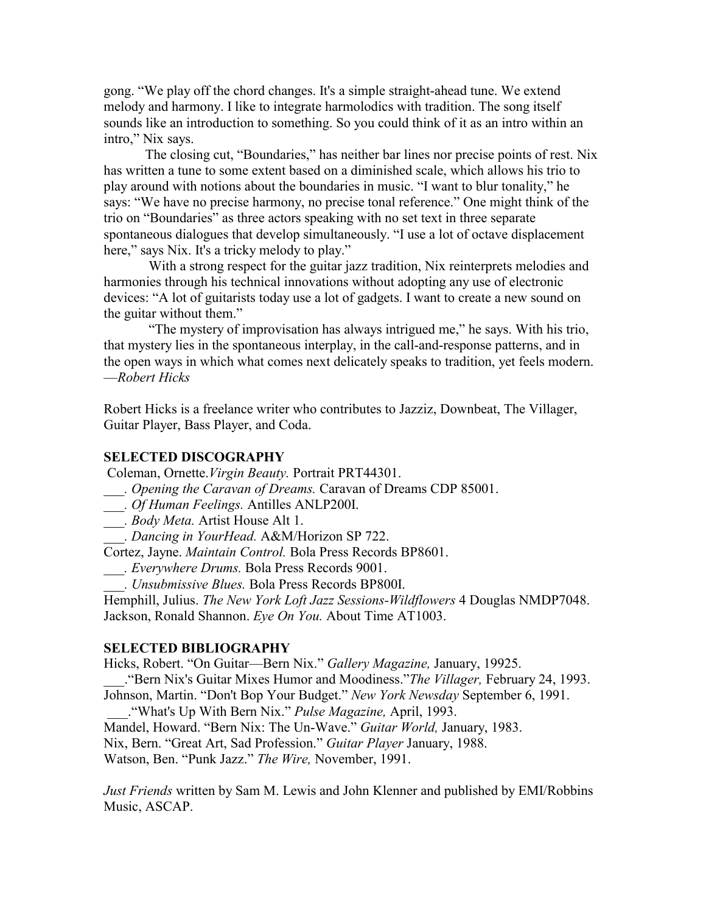gong. "We play off the chord changes. It's a simple straight-ahead tune. We extend melody and harmony. I like to integrate harmolodics with tradition. The song itself sounds like an introduction to something. So you could think of it as an intro within an intro," Nix says.

The closing cut, "Boundaries," has neither bar lines nor precise points of rest. Nix has written a tune to some extent based on a diminished scale, which allows his trio to play around with notions about the boundaries in music. "I want to blur tonality," he says: "We have no precise harmony, no precise tonal reference." One might think of the trio on "Boundaries" as three actors speaking with no set text in three separate spontaneous dialogues that develop simultaneously. "I use a lot of octave displacement here," says Nix. It's a tricky melody to play."

 With a strong respect for the guitar jazz tradition, Nix reinterprets melodies and harmonies through his technical innovations without adopting any use of electronic devices: "A lot of guitarists today use a lot of gadgets. I want to create a new sound on the guitar without them."

 "The mystery of improvisation has always intrigued me," he says. With his trio, that mystery lies in the spontaneous interplay, in the call-and-response patterns, and in the open ways in which what comes next delicately speaks to tradition, yet feels modern. —*Robert Hicks*

Robert Hicks is a freelance writer who contributes to Jazziz, Downbeat, The Villager, Guitar Player, Bass Player, and Coda.

## **SELECTED DISCOGRAPHY**

Coleman, Ornette.*Virgin Beauty.* Portrait PRT44301.

- *\_\_\_. Opening the Caravan of Dreams.* Caravan of Dreams CDP 85001.
- *\_\_\_. Of Human Feelings.* Antilles ANLP200I.
- *\_\_\_. Body Meta.* Artist House Alt 1.
- *\_\_\_. Dancing in YourHead.* A&M/Horizon SP 722.

Cortez, Jayne. *Maintain Control.* Bola Press Records BP8601.

- *\_\_\_. Everywhere Drums.* Bola Press Records 9001.
- *\_\_\_. Unsubmissive Blues.* Bola Press Records BP800I.

Hemphill, Julius. *The New York Loft Jazz Sessions-Wildflowers* 4 Douglas NMDP7048. Jackson, Ronald Shannon. *Eye On You.* About Time AT1003.

## **SELECTED BIBLIOGRAPHY**

Hicks, Robert. "On Guitar—Bern Nix." *Gallery Magazine,* January, 19925.

\_\_\_."Bern Nix's Guitar Mixes Humor and Moodiness."*The Villager,* February 24, 1993.

Johnson, Martin. "Don't Bop Your Budget." *New York Newsday* September 6, 1991.

\_\_\_."What's Up With Bern Nix." *Pulse Magazine,* April, 1993.

Mandel, Howard. "Bern Nix: The Un-Wave." *Guitar World,* January, 1983.

Nix, Bern. "Great Art, Sad Profession." *Guitar Player* January, 1988.

Watson, Ben. "Punk Jazz." *The Wire,* November, 1991.

*Just Friends* written by Sam M. Lewis and John Klenner and published by EMI/Robbins Music, ASCAP.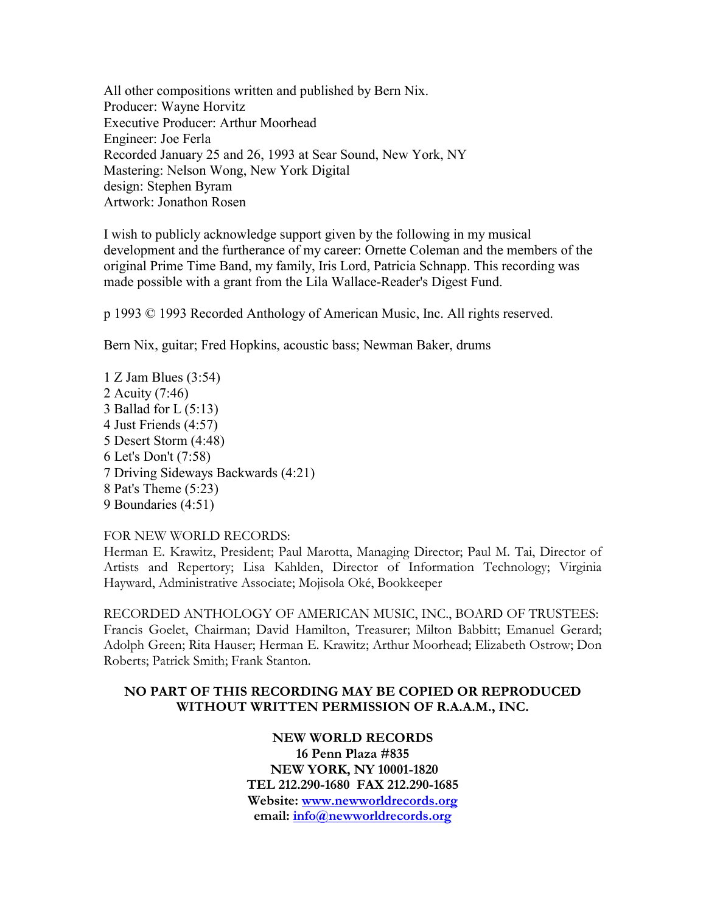All other compositions written and published by Bern Nix. Producer: Wayne Horvitz Executive Producer: Arthur Moorhead Engineer: Joe Ferla Recorded January 25 and 26, 1993 at Sear Sound, New York, NY Mastering: Nelson Wong, New York Digital design: Stephen Byram Artwork: Jonathon Rosen

I wish to publicly acknowledge support given by the following in my musical development and the furtherance of my career: Ornette Coleman and the members of the original Prime Time Band, my family, Iris Lord, Patricia Schnapp. This recording was made possible with a grant from the Lila Wallace-Reader's Digest Fund.

p 1993 © 1993 Recorded Anthology of American Music, Inc. All rights reserved.

Bern Nix, guitar; Fred Hopkins, acoustic bass; Newman Baker, drums

1 Z Jam Blues (3:54) 2 Acuity (7:46) 3 Ballad for  $L(5:13)$ 4 Just Friends (4:57) 5 Desert Storm (4:48) 6 Let's Don't (7:58) 7 Driving Sideways Backwards (4:21) 8 Pat's Theme (5:23) 9 Boundaries (4:51)

## FOR NEW WORLD RECORDS:

Herman E. Krawitz, President; Paul Marotta, Managing Director; Paul M. Tai, Director of Artists and Repertory; Lisa Kahlden, Director of Information Technology; Virginia Hayward, Administrative Associate; Mojisola Oké, Bookkeeper

RECORDED ANTHOLOGY OF AMERICAN MUSIC, INC., BOARD OF TRUSTEES: Francis Goelet, Chairman; David Hamilton, Treasurer; Milton Babbitt; Emanuel Gerard; Adolph Green; Rita Hauser; Herman E. Krawitz; Arthur Moorhead; Elizabeth Ostrow; Don Roberts; Patrick Smith; Frank Stanton.

## **NO PART OF THIS RECORDING MAY BE COPIED OR REPRODUCED WITHOUT WRITTEN PERMISSION OF R.A.A.M., INC.**

**NEW WORLD RECORDS 16 Penn Plaza #835 NEW YORK, NY 10001-1820 TEL 212.290-1680 FAX 212.290-1685 Website: [www.newworldrecords.org](http://www.newworldrecords.org/) email: [info@newworldrecords.org](mailto:newworldrecords@erols.com)**